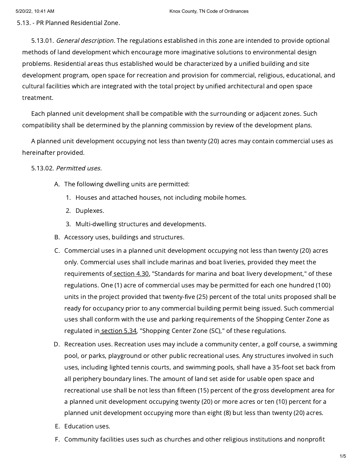5.13. - PR Planned Residential Zone.

5.13.01. General description. The regulations established in this zone are intended to provide optional methods of land development which encourage more imaginative solutions to environmental design problems. Residential areas thus established would be characterized by a unified building and site development program, open space for recreation and provision for commercial, religious, educational, and cultural facilities which are integrated with the total project by unified architectural and open space treatment.

Each planned unit development shall be compatible with the surrounding or adjacent zones. Such compatibility shall be determined by the planning commission by review of the development plans.

A planned unit development occupying not less than twenty (20) acres may contain commercial uses as hereinafter provided.

### 5.13.02. Permitted uses.

- A. The following dwelling units are permitted:
	- 1. Houses and attached houses, not including mobile homes.
	- 2. Duplexes.
	- 3. Multi-dwelling structures and developments.
- B. Accessory uses, buildings and structures.
- C. Commercial uses in a planned unit development occupying not less than twenty (20) acres only. Commercial uses shall include marinas and boat liveries, provided they meet the requirements of [section](https://library.municode.com/) 4.30, "Standards for marina and boat livery development," of these regulations. One (1) acre of commercial uses may be permitted for each one hundred (100) units in the project provided that twenty-five (25) percent of the total units proposed shall be ready for occupancy prior to any commercial building permit being issued. Such commercial uses shall conform with the use and parking requirements of the Shopping Center Zone as regulated in [section](https://library.municode.com/) 5.34, "Shopping Center Zone (SC)," of these regulations.
- D. Recreation uses. Recreation uses may include a community center, a golf course, a swimming pool, or parks, playground or other public recreational uses. Any structures involved in such uses, including lighted tennis courts, and swimming pools, shall have a 35-foot set back from all periphery boundary lines. The amount of land set aside for usable open space and recreational use shall be not less than fifteen (15) percent of the gross development area for a planned unit development occupying twenty (20) or more acres or ten (10) percent for a planned unit development occupying more than eight (8) but less than twenty (20) acres.
- E. Education uses.
- F. Community facilities uses such as churches and other religious institutions and nonprofit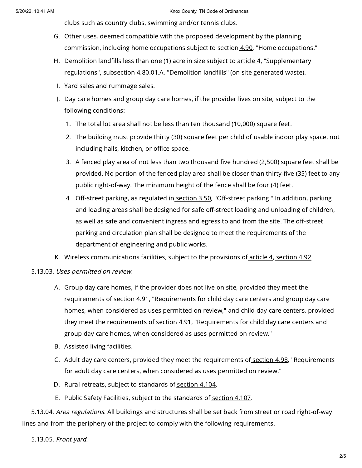clubs such as country clubs, swimming and/or tennis clubs.

- G. Other uses, deemed compatible with the proposed development by the planning commission, including home occupations subject to section [4.90,](https://library.municode.com/) "Home occupations."
- H. Demolition landfills less than one (1) acre in size subject to<u>\_[article](https://library.municode.com/) 4</u>, "Supplementary regulations", subsection 4.80.01.A, "Demolition landfills" (on site generated waste).
- I. Yard sales and rummage sales.
- J. Day care homes and group day care homes, if the provider lives on site, subject to the following conditions:
	- 1. The total lot area shall not be less than ten thousand (10,000) square feet.
	- 2. The building must provide thirty (30) square feet per child of usable indoor play space, not including halls, kitchen, or office space.
	- 3. A fenced play area of not less than two thousand five hundred (2,500) square feet shall be provided. No portion of the fenced play area shall be closer than thirty-five (35) feet to any public right-of-way. The minimum height of the fence shall be four (4) feet.
	- 4. Off-street parking, as regulated in<u> [section](https://library.municode.com/) 3.50</u>, "Off-street parking." In addition, parking and loading areas shall be designed for safe off-street loading and unloading of children, as well as safe and convenient ingress and egress to and from the site. The off-street parking and circulation plan shall be designed to meet the requirements of the department of engineering and public works.
- K. Wireless communications facilities, subject to the provisions of <u>[article](https://library.municode.com/) 4, [section](https://library.municode.com/) 4.92</u>.

# 5.13.03. Uses permitted on review.

- A. Group day care homes, if the provider does not live on site, provided they meet the requirements of [section](https://library.municode.com/) 4.91, "Requirements for child day care centers and group day care homes, when considered as uses permitted on review," and child day care centers, provided they meet the requirements of [section](https://library.municode.com/) 4.91, "Requirements for child day care centers and group day care homes, when considered as uses permitted on review."
- B. Assisted living facilities.
- C. Adult day care centers, provided they meet the requirements of <u>[section](https://library.municode.com/) 4.98</u>, "Requirements for adult day care centers, when considered as uses permitted on review."
- D. Rural retreats, subject to standards of <u>[section](https://library.municode.com/) 4.104</u>.
- E. Public Safety Facilities, subject to the standards of <u>[section](https://library.municode.com/) 4.107</u>.

5.13.04. Area regulations. All buildings and structures shall be set back from street or road right-of-way lines and from the periphery of the project to comply with the following requirements.

5.13.05. Front yard.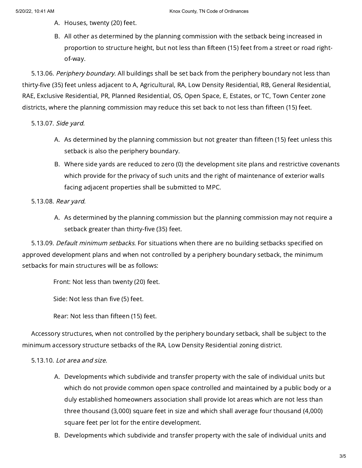- A. Houses, twenty (20) feet.
- B. All other as determined by the planning commission with the setback being increased in proportion to structure height, but not less than fifteen (15) feet from a street or road rightof-way.

5.13.06. Periphery boundary. All buildings shall be set back from the periphery boundary not less than thirty-five (35) feet unless adjacent to A, Agricultural, RA, Low Density Residential, RB, General Residential, RAE, Exclusive Residential, PR, Planned Residential, OS, Open Space, E, Estates, or TC, Town Center zone districts, where the planning commission may reduce this set back to not less than fifteen (15) feet.

## 5.13.07. Side yard.

- A. As determined by the planning commission but not greater than fifteen (15) feet unless this setback is also the periphery boundary.
- B. Where side yards are reduced to zero (0) the development site plans and restrictive covenants which provide for the privacy of such units and the right of maintenance of exterior walls facing adjacent properties shall be submitted to MPC.

## 5.13.08. Rear yard.

A. As determined by the planning commission but the planning commission may not require a setback greater than thirty-five (35) feet.

5.13.09. Default minimum setbacks. For situations when there are no building setbacks specified on approved development plans and when not controlled by a periphery boundary setback, the minimum setbacks for main structures will be as follows:

Front: Not less than twenty (20) feet.

Side: Not less than five (5) feet.

Rear: Not less than fifteen (15) feet.

Accessory structures, when not controlled by the periphery boundary setback, shall be subject to the minimum accessory structure setbacks of the RA, Low Density Residential zoning district.

### 5.13.10. Lot area and size.

- A. Developments which subdivide and transfer property with the sale of individual units but which do not provide common open space controlled and maintained by a public body or a duly established homeowners association shall provide lot areas which are not less than three thousand (3,000) square feet in size and which shall average four thousand (4,000) square feet per lot for the entire development.
- B. Developments which subdivide and transfer property with the sale of individual units and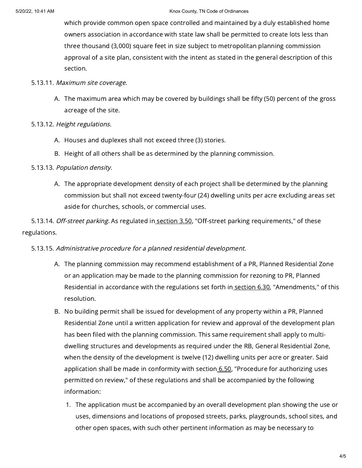#### 5/20/22, 10:41 AM Knox County, TN Code of Ordinances

which provide common open space controlled and maintained by a duly established home owners association in accordance with state law shall be permitted to create lots less than three thousand (3,000) square feet in size subject to metropolitan planning commission approval of a site plan, consistent with the intent as stated in the general description of this section.

- 5.13.11. Maximum site coverage.
	- A. The maximum area which may be covered by buildings shall be fifty (50) percent of the gross acreage of the site.
- 5.13.12. Height regulations.
	- A. Houses and duplexes shall not exceed three (3) stories.
	- B. Height of all others shall be as determined by the planning commission.

# 5.13.13. Population density.

A. The appropriate development density of each project shall be determined by the planning commission but shall not exceed twenty-four (24) dwelling units per acre excluding areas set aside for churches, schools, or commercial uses.

5.13.14. Off-street parking. As regulated in [section](https://library.municode.com/) 3.50, "Off-street parking requirements," of these regulations.

# 5.13.15. Administrative procedure for <sup>a</sup> planned residential development.

- A. The planning commission may recommend establishment of a PR, Planned Residential Zone or an application may be made to the planning commission for rezoning to PR, Planned Residential in accordance with the regulations set forth in [section](https://library.municode.com/) 6.30, "Amendments," of this resolution.
- B. No building permit shall be issued for development of any property within a PR, Planned Residential Zone until a written application for review and approval of the development plan has been filed with the planning commission. This same requirement shall apply to multidwelling structures and developments as required under the RB, General Residential Zone, when the density of the development is twelve (12) dwelling units per acre or greater. Said application shall be made in conformity with section  $6.50$ , "Procedure for authorizing uses permitted on review," of these regulations and shall be accompanied by the following information:
	- 1. The application must be accompanied by an overall development plan showing the use or uses, dimensions and locations of proposed streets, parks, playgrounds, school sites, and other open spaces, with such other pertinent information as may be necessary to